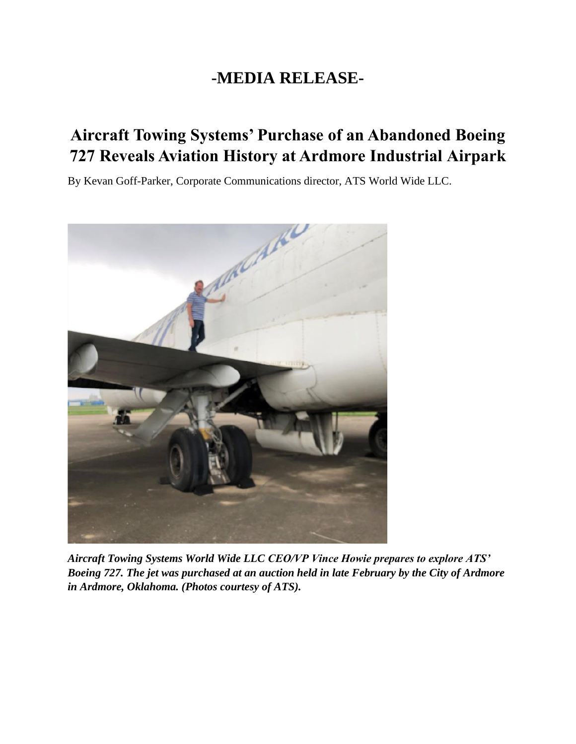## **-MEDIA RELEASE-**

## **Aircraft Towing Systems' Purchase of an Abandoned Boeing 727 Reveals Aviation History at Ardmore Industrial Airpark**

By Kevan Goff-Parker, Corporate Communications director, ATS World Wide LLC.



*Aircraft Towing Systems World Wide LLC CEO/VP Vince Howie prepares to explore ATS' Boeing 727. The jet was purchased at an auction held in late February by the City of Ardmore in Ardmore, Oklahoma. (Photos courtesy of ATS).*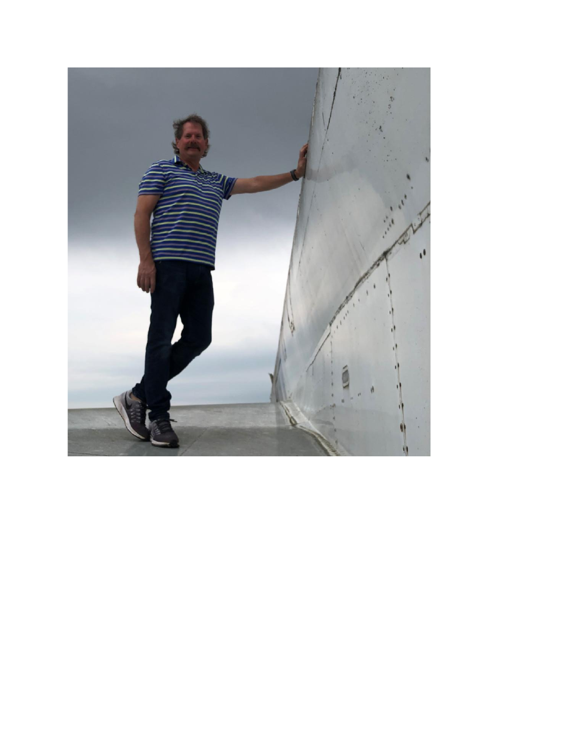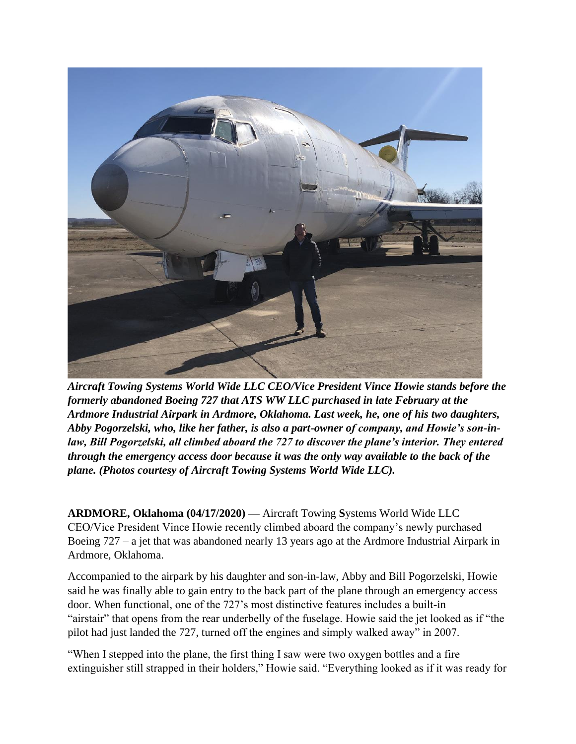

*Aircraft Towing Systems World Wide LLC CEO/Vice President Vince Howie stands before the formerly abandoned Boeing 727 that ATS WW LLC purchased in late February at the Ardmore Industrial Airpark in Ardmore, Oklahoma. Last week, he, one of his two daughters, Abby Pogorzelski, who, like her father, is also a part-owner of company, and Howie's son-inlaw, Bill Pogorzelski, all climbed aboard the 727 to discover the plane's interior. They entered through the emergency access door because it was the only way available to the back of the plane. (Photos courtesy of Aircraft Towing Systems World Wide LLC).*

**ARDMORE, Oklahoma (04/17/2020) —** Aircraft Towing **S**ystems World Wide LLC CEO/Vice President Vince Howie recently climbed aboard the company's newly purchased Boeing 727 – a jet that was abandoned nearly 13 years ago at the Ardmore Industrial Airpark in Ardmore, Oklahoma.

Accompanied to the airpark by his daughter and son-in-law, Abby and Bill Pogorzelski, Howie said he was finally able to gain entry to the back part of the plane through an emergency access door. When functional, one of the 727's most distinctive features includes a built-in ["airstair"](https://en.wikipedia.org/wiki/Airstair) that opens from the rear underbelly of the fuselage. Howie said the jet looked as if "the pilot had just landed the 727, turned off the engines and simply walked away" in 2007.

"When I stepped into the plane, the first thing I saw were two oxygen bottles and a fire extinguisher still strapped in their holders," Howie said. "Everything looked as if it was ready for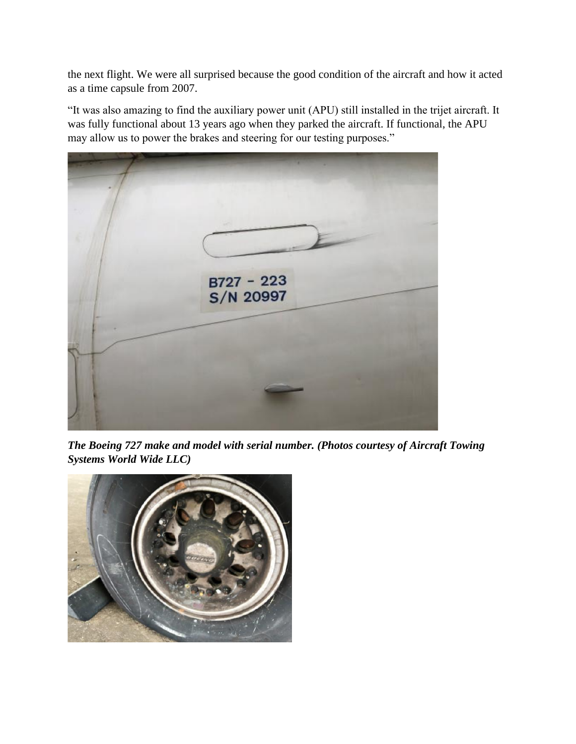the next flight. We were all surprised because the good condition of the aircraft and how it acted as a time capsule from 2007.

"It was also amazing to find the auxiliary power unit (APU) still installed in the trijet aircraft. It was fully functional about 13 years ago when they parked the aircraft. If functional, the APU may allow us to power the brakes and steering for our testing purposes."



*The Boeing 727 make and model with serial number. (Photos courtesy of Aircraft Towing Systems World Wide LLC)*

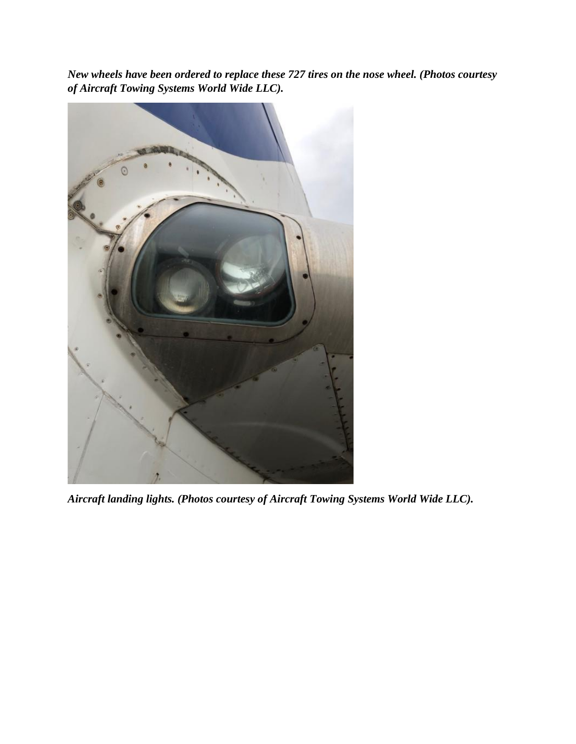*New wheels have been ordered to replace these 727 tires on the nose wheel. (Photos courtesy of Aircraft Towing Systems World Wide LLC).*



*Aircraft landing lights. (Photos courtesy of Aircraft Towing Systems World Wide LLC).*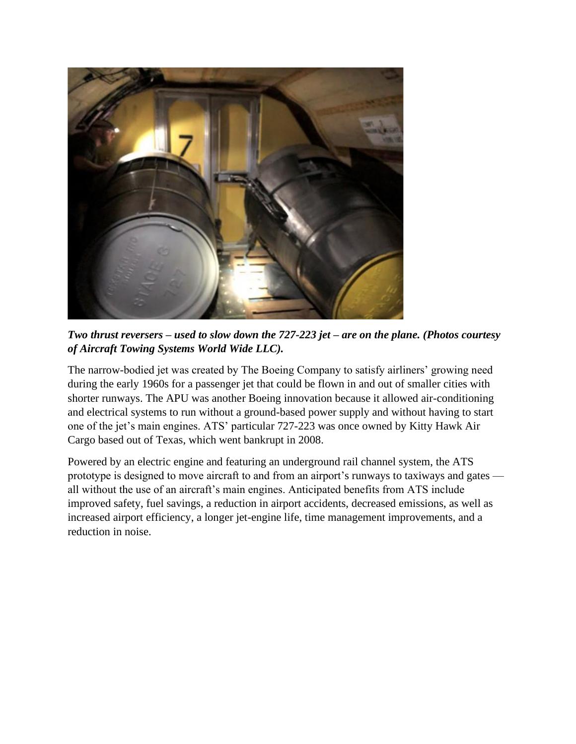

*Two thrust reversers – used to slow down the 727-223 jet – are on the plane. (Photos courtesy of Aircraft Towing Systems World Wide LLC).*

The narrow-bodied jet was created by The Boeing Company to satisfy airliners' growing need during the early 1960s for a passenger jet that could be flown in and out of smaller cities with shorter runways. The APU was another Boeing innovation because it allowed air-conditioning and electrical systems to run without a ground-based power supply and without having to start one of the jet's main engines. ATS' particular 727-223 was once owned by Kitty Hawk Air Cargo based out of Texas, which went bankrupt in 2008.

Powered by an electric engine and featuring an underground rail channel system, the ATS prototype is designed to move aircraft to and from an airport's runways to taxiways and gates all without the use of an aircraft's main engines. Anticipated benefits from ATS include improved safety, fuel savings, a reduction in airport accidents, decreased emissions, as well as increased airport efficiency, a longer jet-engine life, time management improvements, and a reduction in noise.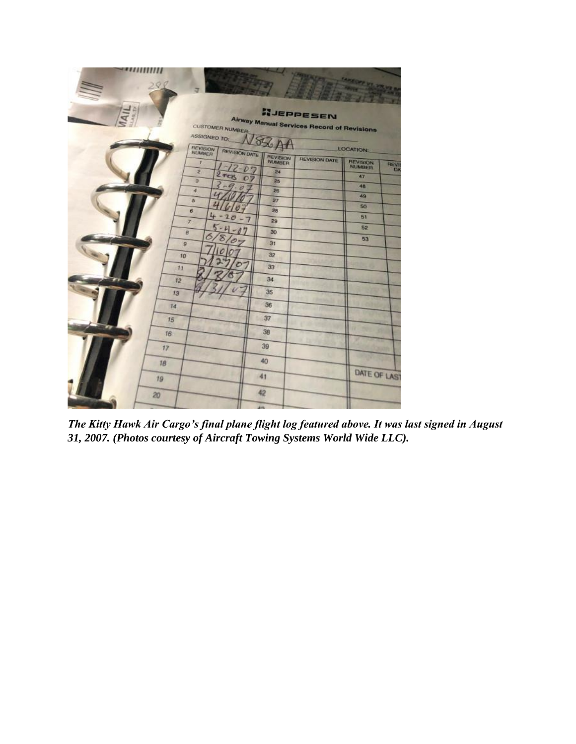| ,,,,,           |                                                       |                                             |                           |                                                                |                           |              |  |
|-----------------|-------------------------------------------------------|---------------------------------------------|---------------------------|----------------------------------------------------------------|---------------------------|--------------|--|
|                 | <b>CUSTOMER NUMBER:</b><br>ASSIGNED TO:               |                                             |                           | NJEPPESEN<br><b>Airway Manual Services Record of Revisions</b> |                           |              |  |
|                 |                                                       | 1856 AP<br>REVISION<br><b>REVISION DATE</b> |                           |                                                                |                           | LOCATION:    |  |
|                 | 7                                                     |                                             | REVISION<br><b>NUMBER</b> | <b>REVISION DATE</b>                                           | <b>REVISION</b><br>NUMBER | <b>REVIE</b> |  |
|                 | $\overline{z}$<br>$2\tau$ c <sub><math>5</math></sub> | D<br>OZ                                     | 24                        |                                                                | 47                        |              |  |
|                 | $\overline{\mathbf{a}}$<br>4                          |                                             | 25<br>26                  |                                                                | 48                        |              |  |
|                 | 5                                                     |                                             | 27                        |                                                                | 49                        |              |  |
|                 | 6                                                     |                                             | 28                        |                                                                | 50                        |              |  |
|                 | 4<br>2<br>$\overline{r}$                              | $\mathcal{O}$<br>7                          | 29                        |                                                                | 51                        |              |  |
|                 | $\overline{B}$                                        |                                             | 30                        |                                                                | 52                        |              |  |
|                 | $\boldsymbol{g}$                                      |                                             | 31                        |                                                                | 53                        |              |  |
|                 | 10 <sub>1</sub>                                       |                                             | 32                        |                                                                |                           |              |  |
| 11              |                                                       |                                             | 33                        |                                                                |                           |              |  |
|                 |                                                       |                                             | 34                        |                                                                |                           |              |  |
| 12              |                                                       |                                             |                           |                                                                |                           |              |  |
| 13              |                                                       |                                             | 35                        |                                                                |                           |              |  |
| 14              |                                                       |                                             | 36                        |                                                                |                           |              |  |
| 15              |                                                       |                                             | 37                        |                                                                |                           |              |  |
| 16              |                                                       |                                             | 38                        |                                                                |                           |              |  |
| 17 <sub>1</sub> |                                                       |                                             | 39                        |                                                                |                           |              |  |
|                 |                                                       |                                             |                           |                                                                |                           |              |  |
| 18              |                                                       |                                             | 40                        |                                                                |                           |              |  |
| 19              |                                                       |                                             | 41                        |                                                                | DATE OF LAST              |              |  |
| 20              |                                                       | 42                                          |                           |                                                                |                           |              |  |
|                 |                                                       | An.                                         |                           |                                                                |                           |              |  |

*The Kitty Hawk Air Cargo's final plane flight log featured above. It was last signed in August 31, 2007. (Photos courtesy of Aircraft Towing Systems World Wide LLC).*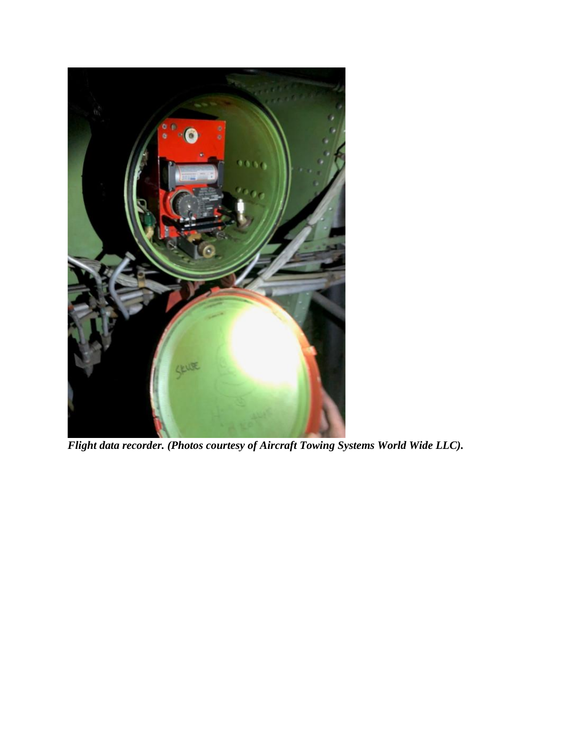

*Flight data recorder. (Photos courtesy of Aircraft Towing Systems World Wide LLC).*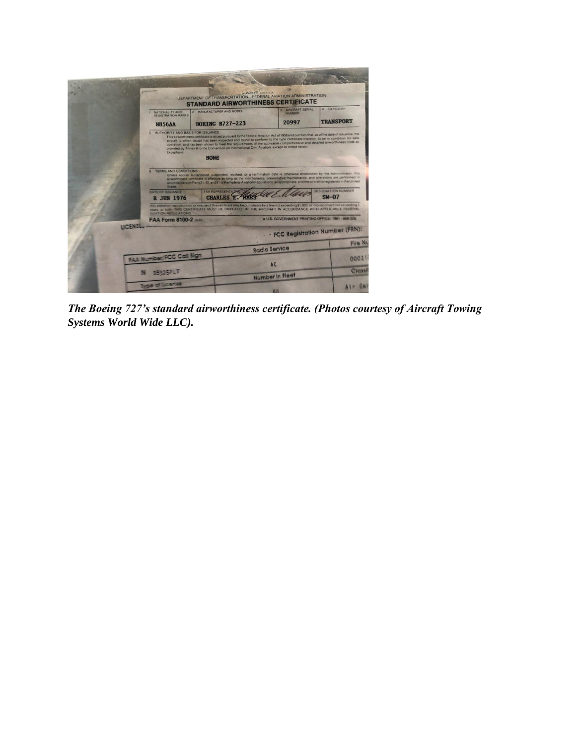

*The Boeing 727's standard airworthiness certificate. (Photos courtesy of Aircraft Towing Systems World Wide LLC).*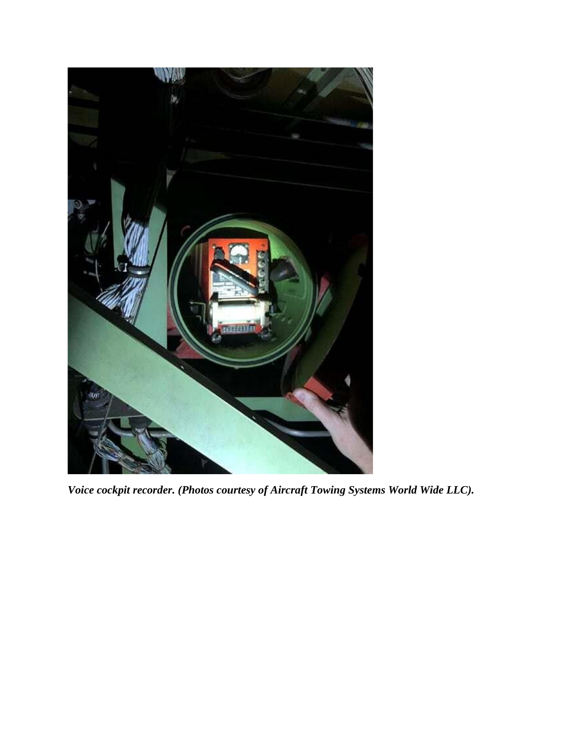

*Voice cockpit recorder. (Photos courtesy of Aircraft Towing Systems World Wide LLC).*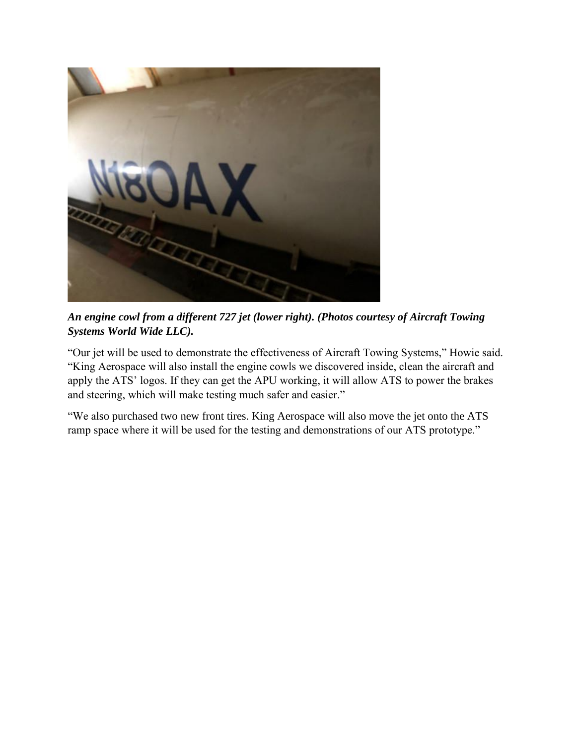

*An engine cowl from a different 727 jet (lower right). (Photos courtesy of Aircraft Towing Systems World Wide LLC).*

"Our jet will be used to demonstrate the effectiveness of Aircraft Towing Systems," Howie said. "King Aerospace will also install the engine cowls we discovered inside, clean the aircraft and apply the ATS' logos. If they can get the APU working, it will allow ATS to power the brakes and steering, which will make testing much safer and easier."

"We also purchased two new front tires. King Aerospace will also move the jet onto the ATS ramp space where it will be used for the testing and demonstrations of our ATS prototype."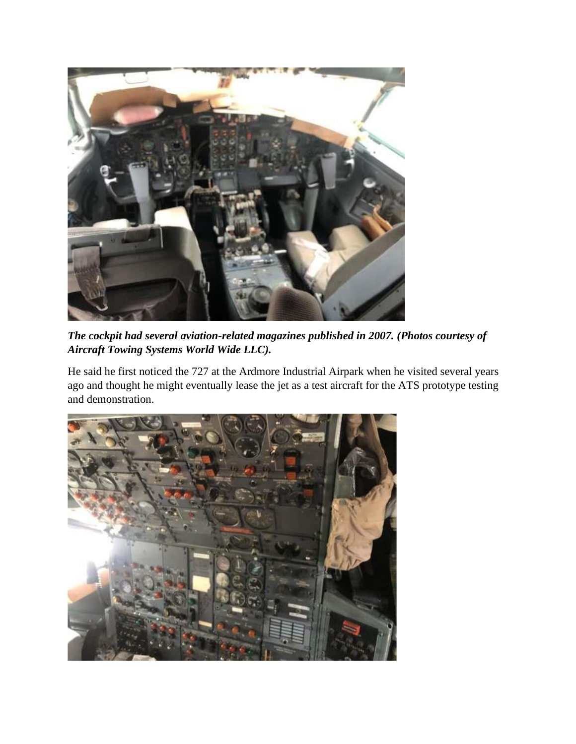

*The cockpit had several aviation-related magazines published in 2007. (Photos courtesy of Aircraft Towing Systems World Wide LLC).*

He said he first noticed the 727 at the Ardmore Industrial Airpark when he visited several years ago and thought he might eventually lease the jet as a test aircraft for the ATS prototype testing and demonstration.

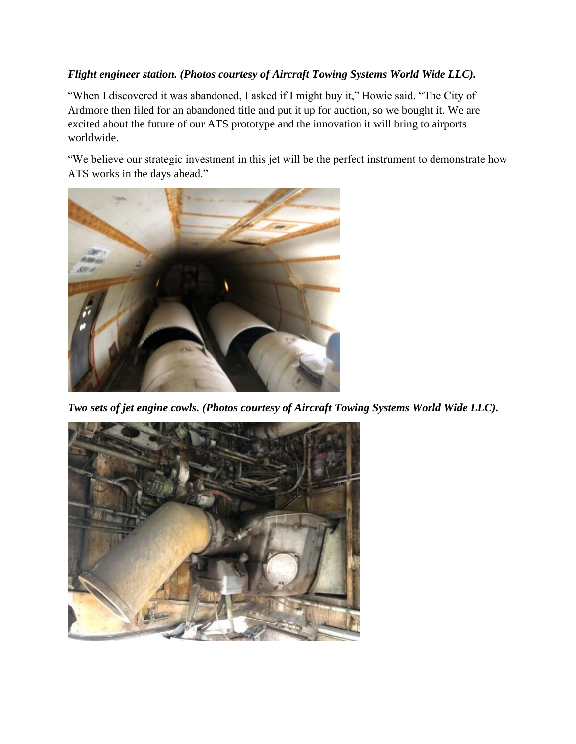## *Flight engineer station. (Photos courtesy of Aircraft Towing Systems World Wide LLC).*

"When I discovered it was abandoned, I asked if I might buy it," Howie said. "The City of Ardmore then filed for an abandoned title and put it up for auction, so we bought it. We are excited about the future of our ATS prototype and the innovation it will bring to airports worldwide.

"We believe our strategic investment in this jet will be the perfect instrument to demonstrate how ATS works in the days ahead."



*Two sets of jet engine cowls. (Photos courtesy of Aircraft Towing Systems World Wide LLC).*